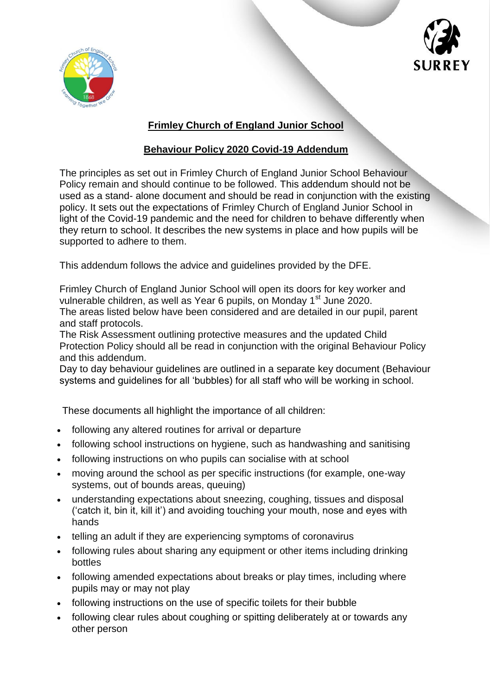



# **Frimley Church of England Junior School**

# **Behaviour Policy 2020 Covid-19 Addendum**

The principles as set out in Frimley Church of England Junior School Behaviour Policy remain and should continue to be followed. This addendum should not be used as a stand- alone document and should be read in conjunction with the existing policy. It sets out the expectations of Frimley Church of England Junior School in light of the Covid-19 pandemic and the need for children to behave differently when they return to school. It describes the new systems in place and how pupils will be supported to adhere to them.

This addendum follows the advice and guidelines provided by the DFE.

Frimley Church of England Junior School will open its doors for key worker and vulnerable children, as well as Year 6 pupils, on Monday 1<sup>st</sup> June 2020. The areas listed below have been considered and are detailed in our pupil, parent and staff protocols.

The Risk Assessment outlining protective measures and the updated Child Protection Policy should all be read in conjunction with the original Behaviour Policy and this addendum.

Day to day behaviour guidelines are outlined in a separate key document (Behaviour systems and guidelines for all 'bubbles) for all staff who will be working in school.

These documents all highlight the importance of all children:

- following any altered routines for arrival or departure
- following school instructions on hygiene, such as handwashing and sanitising
- following instructions on who pupils can socialise with at school
- moving around the school as per specific instructions (for example, one-way systems, out of bounds areas, queuing)
- understanding expectations about sneezing, coughing, tissues and disposal ('catch it, bin it, kill it') and avoiding touching your mouth, nose and eyes with hands
- telling an adult if they are experiencing symptoms of coronavirus
- following rules about sharing any equipment or other items including drinking bottles
- following amended expectations about breaks or play times, including where pupils may or may not play
- following instructions on the use of specific toilets for their bubble
- following clear rules about coughing or spitting deliberately at or towards any other person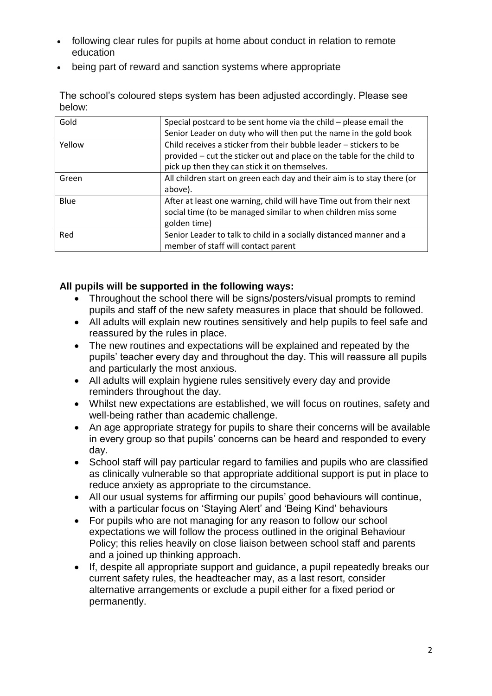- following clear rules for pupils at home about conduct in relation to remote education
- being part of reward and sanction systems where appropriate

The school's coloured steps system has been adjusted accordingly. Please see below:

| Special postcard to be sent home via the child – please email the       |
|-------------------------------------------------------------------------|
| Senior Leader on duty who will then put the name in the gold book       |
| Child receives a sticker from their bubble leader - stickers to be      |
| provided – cut the sticker out and place on the table for the child to  |
| pick up then they can stick it on themselves.                           |
| All children start on green each day and their aim is to stay there (or |
| above).                                                                 |
| After at least one warning, child will have Time out from their next    |
| social time (to be managed similar to when children miss some           |
| golden time)                                                            |
| Senior Leader to talk to child in a socially distanced manner and a     |
| member of staff will contact parent                                     |
|                                                                         |

### **All pupils will be supported in the following ways:**

- Throughout the school there will be signs/posters/visual prompts to remind pupils and staff of the new safety measures in place that should be followed.
- All adults will explain new routines sensitively and help pupils to feel safe and reassured by the rules in place.
- The new routines and expectations will be explained and repeated by the pupils' teacher every day and throughout the day. This will reassure all pupils and particularly the most anxious.
- All adults will explain hygiene rules sensitively every day and provide reminders throughout the day.
- Whilst new expectations are established, we will focus on routines, safety and well-being rather than academic challenge.
- An age appropriate strategy for pupils to share their concerns will be available in every group so that pupils' concerns can be heard and responded to every day.
- School staff will pay particular regard to families and pupils who are classified as clinically vulnerable so that appropriate additional support is put in place to reduce anxiety as appropriate to the circumstance.
- All our usual systems for affirming our pupils' good behaviours will continue, with a particular focus on 'Staying Alert' and 'Being Kind' behaviours
- For pupils who are not managing for any reason to follow our school expectations we will follow the process outlined in the original Behaviour Policy; this relies heavily on close liaison between school staff and parents and a joined up thinking approach.
- If, despite all appropriate support and guidance, a pupil repeatedly breaks our current safety rules, the headteacher may, as a last resort, consider alternative arrangements or exclude a pupil either for a fixed period or permanently.